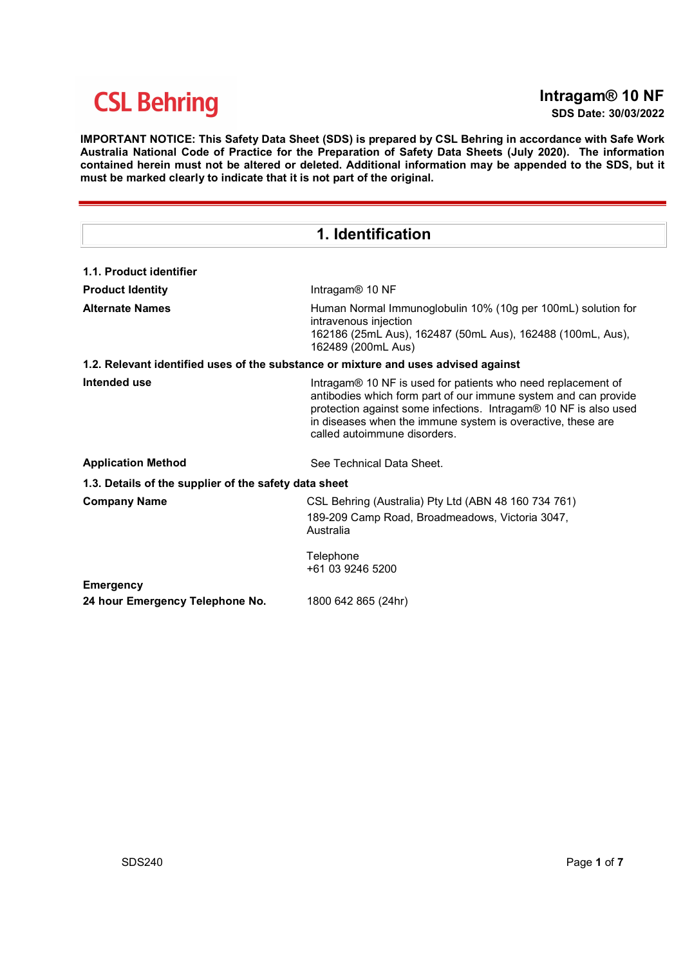## Intragam® 10 NF

SDS Date: 30/03/2022

IMPORTANT NOTICE: This Safety Data Sheet (SDS) is prepared by CSL Behring in accordance with Safe Work Australia National Code of Practice for the Preparation of Safety Data Sheets (July 2020). The information contained herein must not be altered or deleted. Additional information may be appended to the SDS, but it must be marked clearly to indicate that it is not part of the original.

| 1. Identification                                                                  |                                                                                                                                                                                                                                                                                                    |  |  |  |
|------------------------------------------------------------------------------------|----------------------------------------------------------------------------------------------------------------------------------------------------------------------------------------------------------------------------------------------------------------------------------------------------|--|--|--|
| 1.1. Product identifier                                                            |                                                                                                                                                                                                                                                                                                    |  |  |  |
| <b>Product Identity</b>                                                            | Intragam® 10 NF                                                                                                                                                                                                                                                                                    |  |  |  |
| <b>Alternate Names</b>                                                             | Human Normal Immunoglobulin 10% (10g per 100mL) solution for<br>intravenous injection<br>162186 (25mL Aus), 162487 (50mL Aus), 162488 (100mL, Aus),<br>162489 (200mL Aus)                                                                                                                          |  |  |  |
| 1.2. Relevant identified uses of the substance or mixture and uses advised against |                                                                                                                                                                                                                                                                                                    |  |  |  |
| Intended use                                                                       | Intragam® 10 NF is used for patients who need replacement of<br>antibodies which form part of our immune system and can provide<br>protection against some infections. Intragam® 10 NF is also used<br>in diseases when the immune system is overactive, these are<br>called autoimmune disorders. |  |  |  |
| <b>Application Method</b>                                                          | See Technical Data Sheet.                                                                                                                                                                                                                                                                          |  |  |  |
| 1.3. Details of the supplier of the safety data sheet                              |                                                                                                                                                                                                                                                                                                    |  |  |  |
| <b>Company Name</b>                                                                | CSL Behring (Australia) Pty Ltd (ABN 48 160 734 761)<br>189-209 Camp Road, Broadmeadows, Victoria 3047,<br>Australia                                                                                                                                                                               |  |  |  |
|                                                                                    | Telephone<br>+61 03 9246 5200                                                                                                                                                                                                                                                                      |  |  |  |
| <b>Emergency</b><br>24 hour Emergency Telephone No.                                | 1800 642 865 (24hr)                                                                                                                                                                                                                                                                                |  |  |  |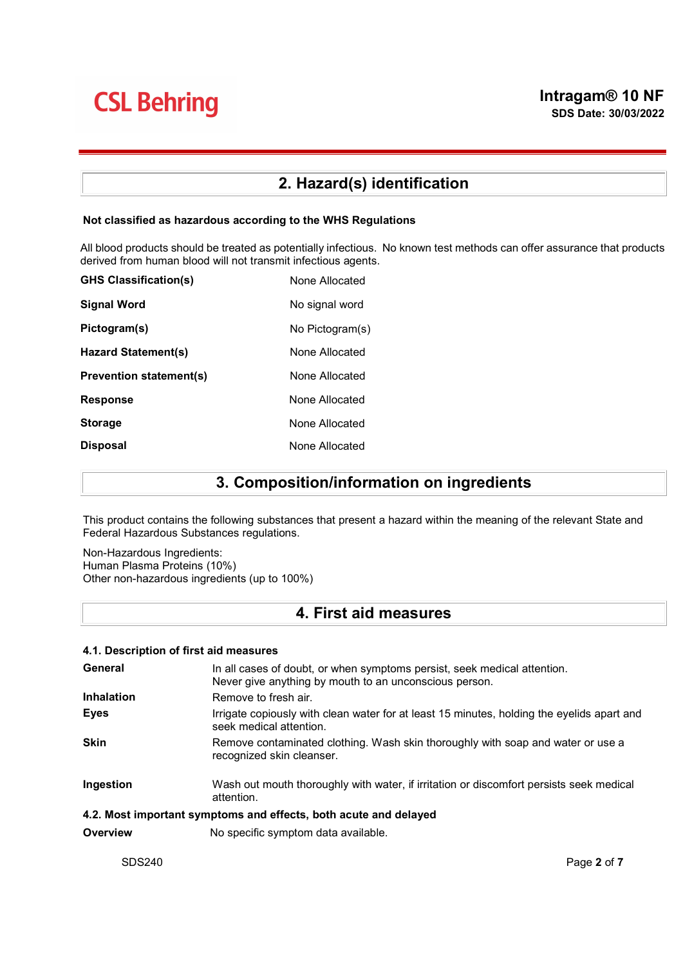## 2. Hazard(s) identification

#### Not classified as hazardous according to the WHS Regulations

All blood products should be treated as potentially infectious. No known test methods can offer assurance that products derived from human blood will not transmit infectious agents.

| <b>GHS Classification(s)</b>   | None Allocated  |
|--------------------------------|-----------------|
| <b>Signal Word</b>             | No signal word  |
| Pictogram(s)                   | No Pictogram(s) |
| Hazard Statement(s)            | None Allocated  |
| <b>Prevention statement(s)</b> | None Allocated  |
| <b>Response</b>                | None Allocated  |
| <b>Storage</b>                 | None Allocated  |
| <b>Disposal</b>                | None Allocated  |

## 3. Composition/information on ingredients

This product contains the following substances that present a hazard within the meaning of the relevant State and Federal Hazardous Substances regulations.

Non-Hazardous Ingredients: Human Plasma Proteins (10%) Other non-hazardous ingredients (up to 100%)

## 4. First aid measures

| 4.1. Description of first aid measures |                                                                                                                                    |  |  |
|----------------------------------------|------------------------------------------------------------------------------------------------------------------------------------|--|--|
| General                                | In all cases of doubt, or when symptoms persist, seek medical attention.<br>Never give anything by mouth to an unconscious person. |  |  |
| <b>Inhalation</b>                      | Remove to fresh air.                                                                                                               |  |  |
| <b>Eyes</b>                            | Irrigate copiously with clean water for at least 15 minutes, holding the eyelids apart and<br>seek medical attention.              |  |  |
| <b>Skin</b>                            | Remove contaminated clothing. Wash skin thoroughly with soap and water or use a<br>recognized skin cleanser.                       |  |  |
| Ingestion                              | Wash out mouth thoroughly with water, if irritation or discomfort persists seek medical<br>attention.                              |  |  |
|                                        | 4.2. Most important symptoms and effects, both acute and delayed                                                                   |  |  |
| Overview                               | No specific symptom data available.                                                                                                |  |  |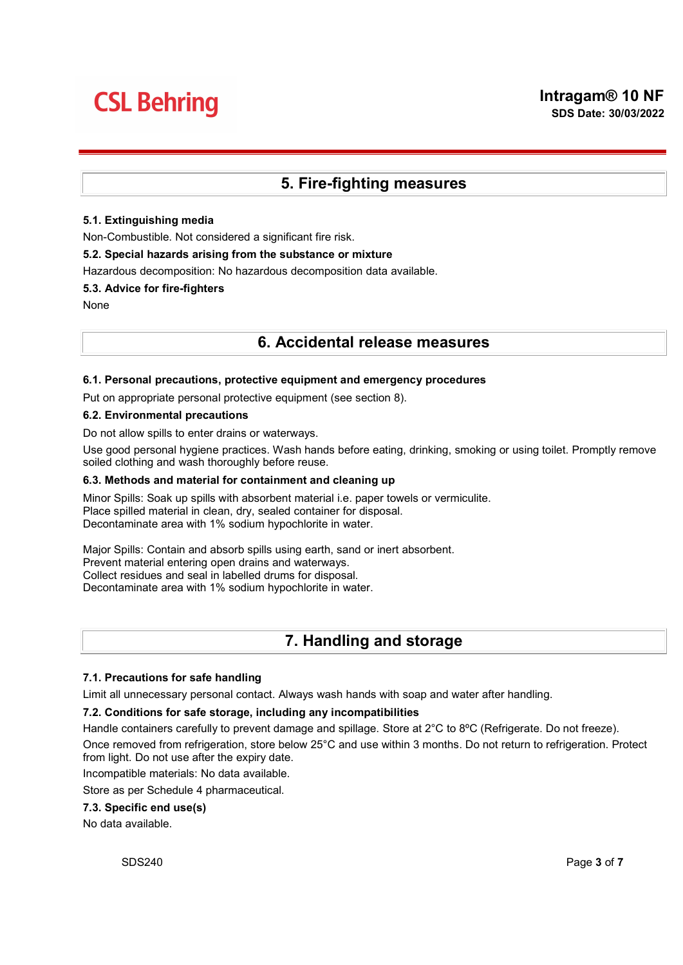## 5. Fire-fighting measures

#### 5.1. Extinguishing media

Non-Combustible. Not considered a significant fire risk.

#### 5.2. Special hazards arising from the substance or mixture

Hazardous decomposition: No hazardous decomposition data available.

#### 5.3. Advice for fire-fighters

None

### 6. Accidental release measures

#### 6.1. Personal precautions, protective equipment and emergency procedures

Put on appropriate personal protective equipment (see section 8).

#### 6.2. Environmental precautions

Do not allow spills to enter drains or waterways.

Use good personal hygiene practices. Wash hands before eating, drinking, smoking or using toilet. Promptly remove soiled clothing and wash thoroughly before reuse.

#### 6.3. Methods and material for containment and cleaning up

Minor Spills: Soak up spills with absorbent material i.e. paper towels or vermiculite. Place spilled material in clean, dry, sealed container for disposal. Decontaminate area with 1% sodium hypochlorite in water.

Major Spills: Contain and absorb spills using earth, sand or inert absorbent. Prevent material entering open drains and waterways. Collect residues and seal in labelled drums for disposal. Decontaminate area with 1% sodium hypochlorite in water.

## 7. Handling and storage

#### 7.1. Precautions for safe handling

Limit all unnecessary personal contact. Always wash hands with soap and water after handling.

#### 7.2. Conditions for safe storage, including any incompatibilities

Handle containers carefully to prevent damage and spillage. Store at  $2^{\circ}C$  to  $8^{\circ}C$  (Refrigerate. Do not freeze).

Once removed from refrigeration, store below 25°C and use within 3 months. Do not return to refrigeration. Protect from light. Do not use after the expiry date.

Incompatible materials: No data available.

Store as per Schedule 4 pharmaceutical.

#### 7.3. Specific end use(s)

No data available.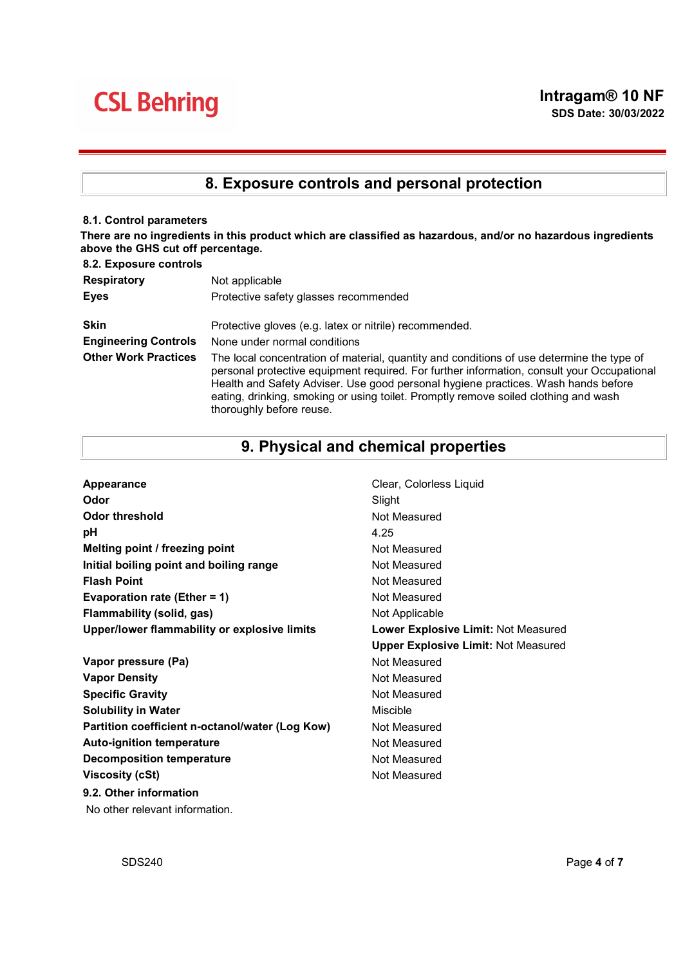## 8. Exposure controls and personal protection

#### 8.1. Control parameters

There are no ingredients in this product which are classified as hazardous, and/or no hazardous ingredients above the GHS cut off percentage.  $9.2 E$ 

| <b>8.2. EXPOSURE CONTROIS</b> |                                                                                                                                                                                                                                                                                                                                                                                                 |
|-------------------------------|-------------------------------------------------------------------------------------------------------------------------------------------------------------------------------------------------------------------------------------------------------------------------------------------------------------------------------------------------------------------------------------------------|
| <b>Respiratory</b>            | Not applicable                                                                                                                                                                                                                                                                                                                                                                                  |
| <b>Eyes</b>                   | Protective safety glasses recommended                                                                                                                                                                                                                                                                                                                                                           |
| <b>Skin</b>                   | Protective gloves (e.g. latex or nitrile) recommended.                                                                                                                                                                                                                                                                                                                                          |
| <b>Engineering Controls</b>   | None under normal conditions                                                                                                                                                                                                                                                                                                                                                                    |
| <b>Other Work Practices</b>   | The local concentration of material, quantity and conditions of use determine the type of<br>personal protective equipment required. For further information, consult your Occupational<br>Health and Safety Adviser. Use good personal hygiene practices. Wash hands before<br>eating, drinking, smoking or using toilet. Promptly remove soiled clothing and wash<br>thoroughly before reuse. |

## 9. Physical and chemical properties

| Appearance                                      | Clear, Colorless Liquid                    |
|-------------------------------------------------|--------------------------------------------|
| Odor                                            | Slight                                     |
| Odor threshold                                  | Not Measured                               |
| рH                                              | 4.25                                       |
| Melting point / freezing point                  | Not Measured                               |
| Initial boiling point and boiling range         | Not Measured                               |
| <b>Flash Point</b>                              | Not Measured                               |
| Evaporation rate (Ether = $1$ )                 | Not Measured                               |
| Flammability (solid, gas)                       | Not Applicable                             |
| Upper/lower flammability or explosive limits    | Lower Explosive Limit: Not Measured        |
|                                                 | <b>Upper Explosive Limit: Not Measured</b> |
| Vapor pressure (Pa)                             | Not Measured                               |
| <b>Vapor Density</b>                            | Not Measured                               |
| <b>Specific Gravity</b>                         | Not Measured                               |
| <b>Solubility in Water</b>                      | Miscible                                   |
| Partition coefficient n-octanol/water (Log Kow) | Not Measured                               |
| <b>Auto-ignition temperature</b>                | Not Measured                               |
|                                                 |                                            |
| <b>Decomposition temperature</b>                | Not Measured                               |
| <b>Viscosity (cSt)</b>                          | Not Measured                               |
| 9.2. Other information                          |                                            |

No other relevant information.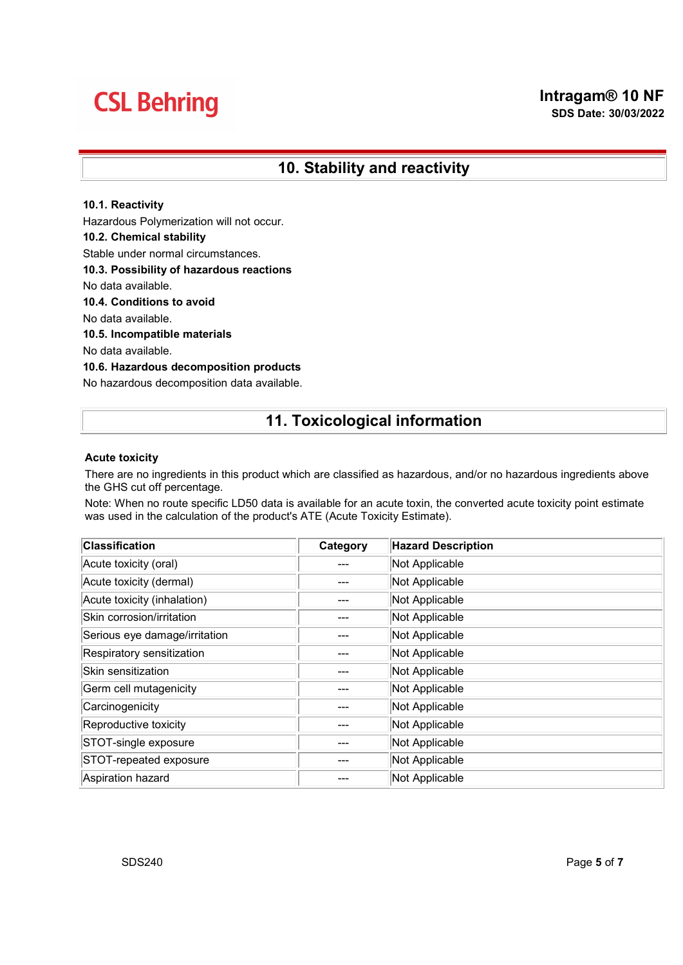## 10. Stability and reactivity

#### 10.1. Reactivity

Hazardous Polymerization will not occur.

#### 10.2. Chemical stability

Stable under normal circumstances.

#### 10.3. Possibility of hazardous reactions

No data available.

#### 10.4. Conditions to avoid

No data available.

#### 10.5. Incompatible materials

No data available.

#### 10.6. Hazardous decomposition products

No hazardous decomposition data available.

### 11. Toxicological information

#### Acute toxicity

There are no ingredients in this product which are classified as hazardous, and/or no hazardous ingredients above the GHS cut off percentage.

Note: When no route specific LD50 data is available for an acute toxin, the converted acute toxicity point estimate was used in the calculation of the product's ATE (Acute Toxicity Estimate).

| <b>Classification</b>         | Category | <b>Hazard Description</b> |
|-------------------------------|----------|---------------------------|
| Acute toxicity (oral)         |          | Not Applicable            |
| Acute toxicity (dermal)       |          | Not Applicable            |
| Acute toxicity (inhalation)   |          | Not Applicable            |
| Skin corrosion/irritation     |          | Not Applicable            |
| Serious eye damage/irritation |          | Not Applicable            |
| Respiratory sensitization     |          | Not Applicable            |
| Skin sensitization            |          | Not Applicable            |
| Germ cell mutagenicity        |          | Not Applicable            |
| Carcinogenicity               |          | Not Applicable            |
| Reproductive toxicity         | ---      | Not Applicable            |
| STOT-single exposure          |          | Not Applicable            |
| STOT-repeated exposure        |          | Not Applicable            |
| Aspiration hazard             |          | Not Applicable            |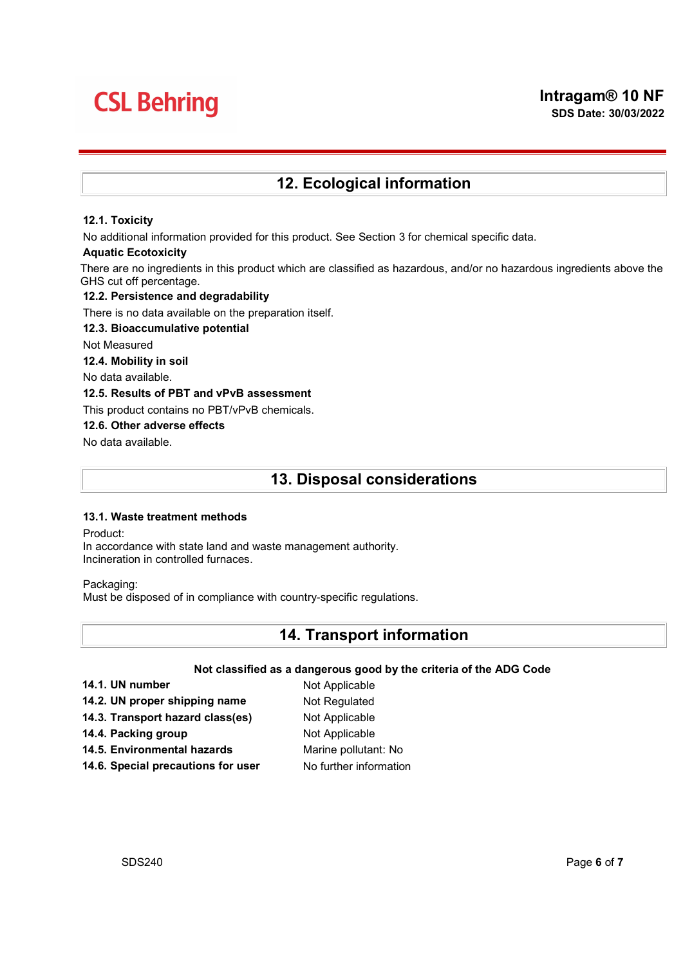## 12. Ecological information

#### 12.1. Toxicity

No additional information provided for this product. See Section 3 for chemical specific data.

#### Aquatic Ecotoxicity

There are no ingredients in this product which are classified as hazardous, and/or no hazardous ingredients above the GHS cut off percentage.

#### 12.2. Persistence and degradability

There is no data available on the preparation itself.

#### 12.3. Bioaccumulative potential

Not Measured

12.4. Mobility in soil

No data available.

#### 12.5. Results of PBT and vPvB assessment

This product contains no PBT/vPvB chemicals.

#### 12.6. Other adverse effects

No data available.

### 13. Disposal considerations

#### 13.1. Waste treatment methods

Product:

In accordance with state land and waste management authority. Incineration in controlled furnaces.

Packaging:

Must be disposed of in compliance with country-specific regulations.

### 14. Transport information

#### Not classified as a dangerous good by the criteria of the ADG Code

14.1. UN number Not Applicable 14.2. UN proper shipping name Not Regulated 14.3. Transport hazard class(es) Not Applicable 14.4. Packing group Not Applicable 14.5. Environmental hazards Marine pollutant: No 14.6. Special precautions for user No further information